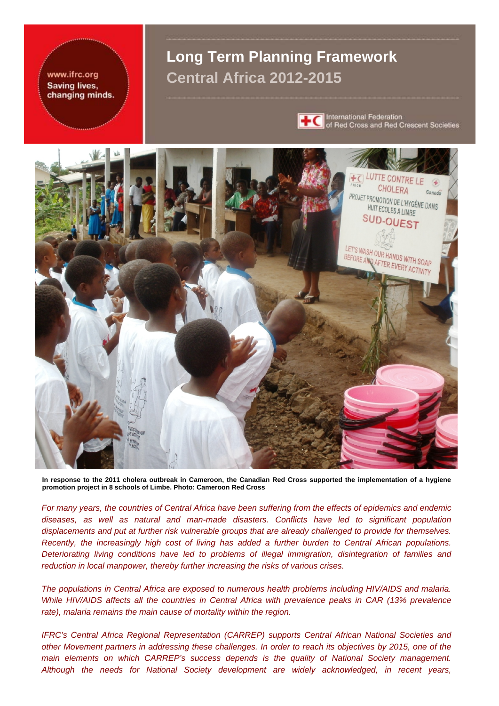### www.ifrc.org Saving lives, changing minds.

# **Long Term Planning Framework Central Africa 2012-2015**



**TC** International Federation<br> **TC** of Red Cross and Red Crescent Societies



**In response to the 2011 cholera outbreak in Cameroon, the Canadian Red Cross supported the implementation of a hygiene promotion project in 8 schools of Limbe. Photo: Cameroon Red Cross** 

*For many years, the countries of Central Africa have been suffering from the effects of epidemics and endemic diseases, as well as natural and man-made disasters. Conflicts have led to significant population displacements and put at further risk vulnerable groups that are already challenged to provide for themselves. Recently, the increasingly high cost of living has added a further burden to Central African populations. Deteriorating living conditions have led to problems of illegal immigration, disintegration of families and reduction in local manpower, thereby further increasing the risks of various crises.* 

*The populations in Central Africa are exposed to numerous health problems including HIV/AIDS and malaria. While HIV/AIDS affects all the countries in Central Africa with prevalence peaks in CAR (13% prevalence rate), malaria remains the main cause of mortality within the region.* 

*IFRC's Central Africa Regional Representation (CARREP) supports Central African National Societies and other Movement partners in addressing these challenges. In order to reach its objectives by 2015, one of the main elements on which CARREP's success depends is the quality of National Society management. Although the needs for National Society development are widely acknowledged, in recent years,*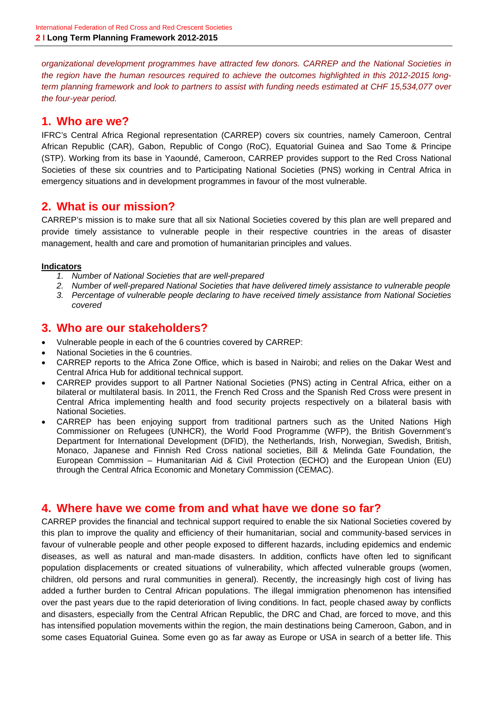*organizational development programmes have attracted few donors. CARREP and the National Societies in the region have the human resources required to achieve the outcomes highlighted in this 2012-2015 longterm planning framework and look to partners to assist with funding needs estimated at CHF 15,534,077 over the four-year period.* 

# **1. Who are we?**

IFRC's Central Africa Regional representation (CARREP) covers six countries, namely Cameroon, Central African Republic (CAR), Gabon, Republic of Congo (RoC), Equatorial Guinea and Sao Tome & Principe (STP). Working from its base in Yaoundé, Cameroon, CARREP provides support to the Red Cross National Societies of these six countries and to Participating National Societies (PNS) working in Central Africa in emergency situations and in development programmes in favour of the most vulnerable.

# **2. What is our mission?**

CARREP's mission is to make sure that all six National Societies covered by this plan are well prepared and provide timely assistance to vulnerable people in their respective countries in the areas of disaster management, health and care and promotion of humanitarian principles and values.

### **Indicators**

- *1. Number of National Societies that are well-prepared*
- *2. Number of well-prepared National Societies that have delivered timely assistance to vulnerable people*
- *3. Percentage of vulnerable people declaring to have received timely assistance from National Societies covered*

### **3. Who are our stakeholders?**

- Vulnerable people in each of the 6 countries covered by CARREP:
- National Societies in the 6 countries.
- CARREP reports to the Africa Zone Office, which is based in Nairobi; and relies on the Dakar West and Central Africa Hub for additional technical support.
- CARREP provides support to all Partner National Societies (PNS) acting in Central Africa, either on a bilateral or multilateral basis. In 2011, the French Red Cross and the Spanish Red Cross were present in Central Africa implementing health and food security projects respectively on a bilateral basis with National Societies.
- CARREP has been enjoying support from traditional partners such as the United Nations High Commissioner on Refugees (UNHCR), the World Food Programme (WFP), the British Government's Department for International Development (DFID), the Netherlands, Irish, Norwegian, Swedish, British, Monaco, Japanese and Finnish Red Cross national societies, Bill & Melinda Gate Foundation, the European Commission – Humanitarian Aid & Civil Protection (ECHO) and the European Union (EU) through the Central Africa Economic and Monetary Commission (CEMAC).

### **4. Where have we come from and what have we done so far?**

CARREP provides the financial and technical support required to enable the six National Societies covered by this plan to improve the quality and efficiency of their humanitarian, social and community-based services in favour of vulnerable people and other people exposed to different hazards, including epidemics and endemic diseases, as well as natural and man-made disasters. In addition, conflicts have often led to significant population displacements or created situations of vulnerability, which affected vulnerable groups (women, children, old persons and rural communities in general). Recently, the increasingly high cost of living has added a further burden to Central African populations. The illegal immigration phenomenon has intensified over the past years due to the rapid deterioration of living conditions. In fact, people chased away by conflicts and disasters, especially from the Central African Republic, the DRC and Chad, are forced to move, and this has intensified population movements within the region, the main destinations being Cameroon, Gabon, and in some cases Equatorial Guinea. Some even go as far away as Europe or USA in search of a better life. This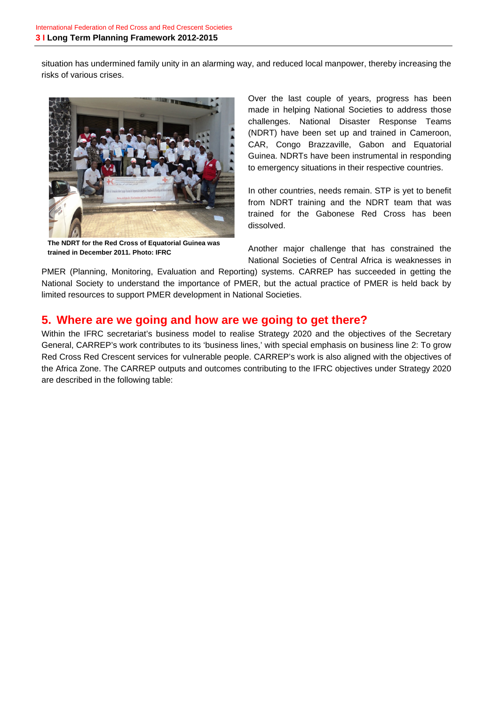situation has undermined family unity in an alarming way, and reduced local manpower, thereby increasing the risks of various crises.



**The NDRT for the Red Cross of Equatorial Guinea was trained in December 2011. Photo: IFRC** 

Over the last couple of years, progress has been made in helping National Societies to address those challenges. National Disaster Response Teams (NDRT) have been set up and trained in Cameroon, CAR, Congo Brazzaville, Gabon and Equatorial Guinea. NDRTs have been instrumental in responding to emergency situations in their respective countries.

In other countries, needs remain. STP is yet to benefit from NDRT training and the NDRT team that was trained for the Gabonese Red Cross has been dissolved.

Another major challenge that has constrained the National Societies of Central Africa is weaknesses in

PMER (Planning, Monitoring, Evaluation and Reporting) systems. CARREP has succeeded in getting the National Society to understand the importance of PMER, but the actual practice of PMER is held back by limited resources to support PMER development in National Societies.

## **5. Where are we going and how are we going to get there?**

Within the IFRC secretariat's business model to realise Strategy 2020 and the objectives of the Secretary General, CARREP's work contributes to its 'business lines,' with special emphasis on business line 2: To grow Red Cross Red Crescent services for vulnerable people. CARREP's work is also aligned with the objectives of the Africa Zone. The CARREP outputs and outcomes contributing to the IFRC objectives under Strategy 2020 are described in the following table: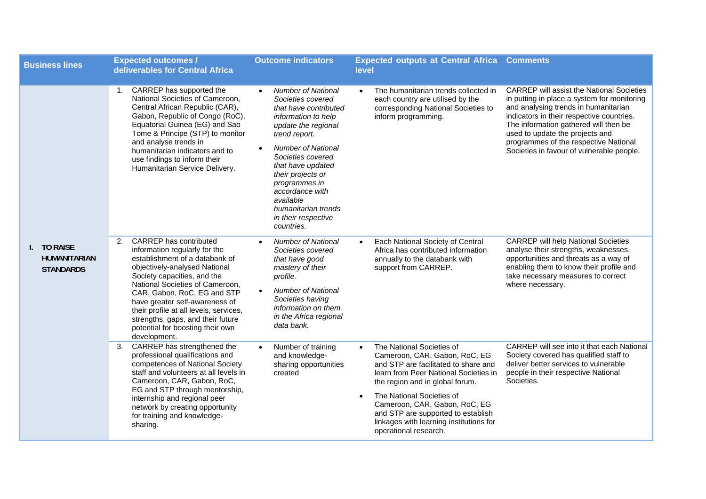| <b>Business lines</b>                                  | <b>Expected outcomes /</b><br>deliverables for Central Africa                                                                                                                                                                                                                                                                                                                                       | <b>Outcome indicators</b>                                                                                                                                                                                                                                                                                                                                                 | <b>Expected outputs at Central Africa Comments</b><br>level                                                                                                                                                                                                                                                                                                         |                                                                                                                                                                                                                                                                                                                                                        |
|--------------------------------------------------------|-----------------------------------------------------------------------------------------------------------------------------------------------------------------------------------------------------------------------------------------------------------------------------------------------------------------------------------------------------------------------------------------------------|---------------------------------------------------------------------------------------------------------------------------------------------------------------------------------------------------------------------------------------------------------------------------------------------------------------------------------------------------------------------------|---------------------------------------------------------------------------------------------------------------------------------------------------------------------------------------------------------------------------------------------------------------------------------------------------------------------------------------------------------------------|--------------------------------------------------------------------------------------------------------------------------------------------------------------------------------------------------------------------------------------------------------------------------------------------------------------------------------------------------------|
|                                                        | 1. CARREP has supported the<br>National Societies of Cameroon,<br>Central African Republic (CAR),<br>Gabon, Republic of Congo (RoC),<br>Equatorial Guinea (EG) and Sao<br>Tome & Principe (STP) to monitor<br>and analyse trends in<br>humanitarian indicators and to<br>use findings to inform their<br>Humanitarian Service Delivery.                                                             | <b>Number of National</b><br>$\bullet$<br>Societies covered<br>that have contributed<br>information to help<br>update the regional<br>trend report.<br><b>Number of National</b><br>$\bullet$<br>Societies covered<br>that have updated<br>their projects or<br>programmes in<br>accordance with<br>available<br>humanitarian trends<br>in their respective<br>countries. | The humanitarian trends collected in<br>$\bullet$<br>each country are utilised by the<br>corresponding National Societies to<br>inform programming.                                                                                                                                                                                                                 | <b>CARREP</b> will assist the National Societies<br>in putting in place a system for monitoring<br>and analysing trends in humanitarian<br>indicators in their respective countries.<br>The information gathered will then be<br>used to update the projects and<br>programmes of the respective National<br>Societies in favour of vulnerable people. |
| I. TO RAISE<br><b>HUMANITARIAN</b><br><b>STANDARDS</b> | 2. CARREP has contributed<br>information regularly for the<br>establishment of a databank of<br>objectively-analysed National<br>Society capacities, and the<br>National Societies of Cameroon,<br>CAR, Gabon, RoC, EG and STP<br>have greater self-awareness of<br>their profile at all levels, services,<br>strengths, gaps, and their future<br>potential for boosting their own<br>development. | <b>Number of National</b><br>Societies covered<br>that have good<br>mastery of their<br>profile.<br><b>Number of National</b><br>$\bullet$<br>Societies having<br>information on them<br>in the Africa regional<br>data bank.                                                                                                                                             | Each National Society of Central<br>$\bullet$<br>Africa has contributed information<br>annually to the databank with<br>support from CARREP.                                                                                                                                                                                                                        | <b>CARREP</b> will help National Societies<br>analyse their strengths, weaknesses,<br>opportunities and threats as a way of<br>enabling them to know their profile and<br>take necessary measures to correct<br>where necessary.                                                                                                                       |
|                                                        | 3. CARREP has strengthened the<br>professional qualifications and<br>competences of National Society<br>staff and volunteers at all levels in<br>Cameroon, CAR, Gabon, RoC,<br>EG and STP through mentorship,<br>internship and regional peer<br>network by creating opportunity<br>for training and knowledge-<br>sharing.                                                                         | Number of training<br>$\bullet$<br>and knowledge-<br>sharing opportunities<br>created                                                                                                                                                                                                                                                                                     | The National Societies of<br>$\bullet$<br>Cameroon, CAR, Gabon, RoC, EG<br>and STP are facilitated to share and<br>learn from Peer National Societies in<br>the region and in global forum.<br>The National Societies of<br>Cameroon, CAR, Gabon, RoC, EG<br>and STP are supported to establish<br>linkages with learning institutions for<br>operational research. | CARREP will see into it that each National<br>Society covered has qualified staff to<br>deliver better services to vulnerable<br>people in their respective National<br>Societies.                                                                                                                                                                     |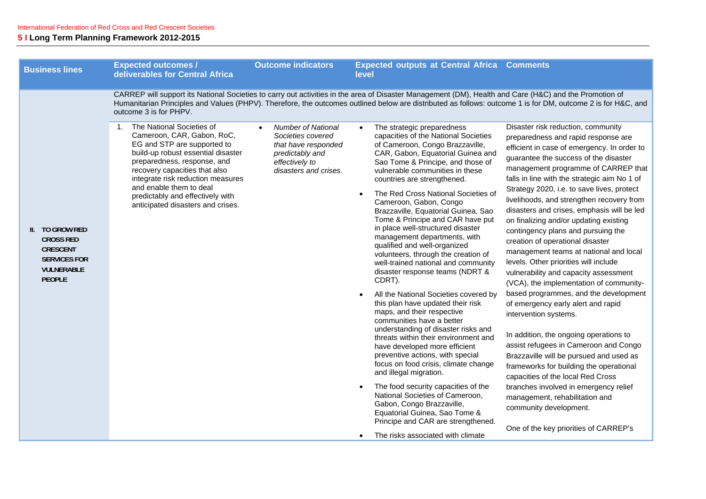|                                                                                                                     |                                                                                                                                                                                                                                                                                                                                          |                                                                                                                                                  | level                                                                                                                                                                                                                                                                                                                                                                                                                                                                                                                                                                                                                                                                                                                                                                                                                                                                                                                                                                                                                                                                                                                                                                                                           |                                                                                                                                                                                                                                                                                                                                                                                                                                                                                                                                                                                                                                                                                                                                                                                                                                                                                                                                                                                                                                                                                                                                                                  |
|---------------------------------------------------------------------------------------------------------------------|------------------------------------------------------------------------------------------------------------------------------------------------------------------------------------------------------------------------------------------------------------------------------------------------------------------------------------------|--------------------------------------------------------------------------------------------------------------------------------------------------|-----------------------------------------------------------------------------------------------------------------------------------------------------------------------------------------------------------------------------------------------------------------------------------------------------------------------------------------------------------------------------------------------------------------------------------------------------------------------------------------------------------------------------------------------------------------------------------------------------------------------------------------------------------------------------------------------------------------------------------------------------------------------------------------------------------------------------------------------------------------------------------------------------------------------------------------------------------------------------------------------------------------------------------------------------------------------------------------------------------------------------------------------------------------------------------------------------------------|------------------------------------------------------------------------------------------------------------------------------------------------------------------------------------------------------------------------------------------------------------------------------------------------------------------------------------------------------------------------------------------------------------------------------------------------------------------------------------------------------------------------------------------------------------------------------------------------------------------------------------------------------------------------------------------------------------------------------------------------------------------------------------------------------------------------------------------------------------------------------------------------------------------------------------------------------------------------------------------------------------------------------------------------------------------------------------------------------------------------------------------------------------------|
|                                                                                                                     | outcome 3 is for PHPV.                                                                                                                                                                                                                                                                                                                   |                                                                                                                                                  | CARREP will support its National Societies to carry out activities in the area of Disaster Management (DM), Health and Care (H&C) and the Promotion of<br>Humanitarian Principles and Values (PHPV). Therefore, the outcomes outlined below are distributed as follows: outcome 1 is for DM, outcome 2 is for H&C, and                                                                                                                                                                                                                                                                                                                                                                                                                                                                                                                                                                                                                                                                                                                                                                                                                                                                                          |                                                                                                                                                                                                                                                                                                                                                                                                                                                                                                                                                                                                                                                                                                                                                                                                                                                                                                                                                                                                                                                                                                                                                                  |
| II. TO GROW RED<br><b>CROSS RED</b><br><b>CRESCENT</b><br><b>SERVICES FOR</b><br><b>VULNERABLE</b><br><b>PEOPLE</b> | 1. The National Societies of<br>Cameroon, CAR, Gabon, RoC,<br>EG and STP are supported to<br>build-up robust essential disaster<br>preparedness, response, and<br>recovery capacities that also<br>integrate risk reduction measures<br>and enable them to deal<br>predictably and effectively with<br>anticipated disasters and crises. | <b>Number of National</b><br>$\bullet$<br>Societies covered<br>that have responded<br>predictably and<br>effectively to<br>disasters and crises. | The strategic preparedness<br>capacities of the National Societies<br>of Cameroon, Congo Brazzaville,<br>CAR, Gabon, Equatorial Guinea and<br>Sao Tome & Principe, and those of<br>vulnerable communities in these<br>countries are strengthened.<br>The Red Cross National Societies of<br>Cameroon, Gabon, Congo<br>Brazzaville, Equatorial Guinea, Sao<br>Tome & Principe and CAR have put<br>in place well-structured disaster<br>management departments, with<br>qualified and well-organized<br>volunteers, through the creation of<br>well-trained national and community<br>disaster response teams (NDRT &<br>CDRT).<br>All the National Societies covered by<br>this plan have updated their risk<br>maps, and their respective<br>communities have a better<br>understanding of disaster risks and<br>threats within their environment and<br>have developed more efficient<br>preventive actions, with special<br>focus on food crisis, climate change<br>and illegal migration.<br>The food security capacities of the<br>National Societies of Cameroon,<br>Gabon, Congo Brazzaville,<br>Equatorial Guinea, Sao Tome &<br>Principe and CAR are strengthened.<br>The risks associated with climate | Disaster risk reduction, community<br>preparedness and rapid response are<br>efficient in case of emergency. In order to<br>guarantee the success of the disaster<br>management programme of CARREP that<br>falls in line with the strategic aim No 1 of<br>Strategy 2020, i.e. to save lives, protect<br>livelihoods, and strengthen recovery from<br>disasters and crises, emphasis will be led<br>on finalizing and/or updating existing<br>contingency plans and pursuing the<br>creation of operational disaster<br>management teams at national and local<br>levels. Other priorities will include<br>vulnerability and capacity assessment<br>(VCA), the implementation of community-<br>based programmes, and the development<br>of emergency early alert and rapid<br>intervention systems.<br>In addition, the ongoing operations to<br>assist refugees in Cameroon and Congo<br>Brazzaville will be pursued and used as<br>frameworks for building the operational<br>capacities of the local Red Cross<br>branches involved in emergency relief<br>management, rehabilitation and<br>community development.<br>One of the key priorities of CARREP's |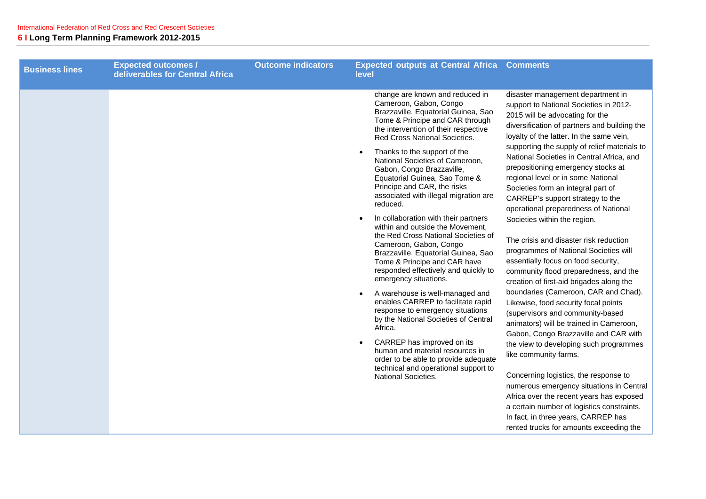| <b>Business lines</b> | <b>Expected outcomes /</b><br>deliverables for Central Africa | <b>Outcome indicators</b> | <b>Expected outputs at Central Africa</b><br>level                                                                                                                                                                                                                                                                                                                                                                                                                                                                                                                                                                                                                                                                                                                                                                                                                                                                                                                                                                                                             | <b>Comments</b>                                                                                                                                                                                                                                                                                                                                                                                                                                                                                                                                                                                                                                                                                                                                                                                                                                                                                                                                                                                                                                                                                                                                                                                                                                                                                  |
|-----------------------|---------------------------------------------------------------|---------------------------|----------------------------------------------------------------------------------------------------------------------------------------------------------------------------------------------------------------------------------------------------------------------------------------------------------------------------------------------------------------------------------------------------------------------------------------------------------------------------------------------------------------------------------------------------------------------------------------------------------------------------------------------------------------------------------------------------------------------------------------------------------------------------------------------------------------------------------------------------------------------------------------------------------------------------------------------------------------------------------------------------------------------------------------------------------------|--------------------------------------------------------------------------------------------------------------------------------------------------------------------------------------------------------------------------------------------------------------------------------------------------------------------------------------------------------------------------------------------------------------------------------------------------------------------------------------------------------------------------------------------------------------------------------------------------------------------------------------------------------------------------------------------------------------------------------------------------------------------------------------------------------------------------------------------------------------------------------------------------------------------------------------------------------------------------------------------------------------------------------------------------------------------------------------------------------------------------------------------------------------------------------------------------------------------------------------------------------------------------------------------------|
|                       |                                                               |                           | change are known and reduced in<br>Cameroon, Gabon, Congo<br>Brazzaville, Equatorial Guinea, Sao<br>Tome & Principe and CAR through<br>the intervention of their respective<br>Red Cross National Societies.<br>Thanks to the support of the<br>National Societies of Cameroon,<br>Gabon, Congo Brazzaville,<br>Equatorial Guinea, Sao Tome &<br>Principe and CAR, the risks<br>associated with illegal migration are<br>reduced.<br>In collaboration with their partners<br>within and outside the Movement,<br>the Red Cross National Societies of<br>Cameroon, Gabon, Congo<br>Brazzaville, Equatorial Guinea, Sao<br>Tome & Principe and CAR have<br>responded effectively and quickly to<br>emergency situations.<br>A warehouse is well-managed and<br>enables CARREP to facilitate rapid<br>response to emergency situations<br>by the National Societies of Central<br>Africa.<br>CARREP has improved on its<br>human and material resources in<br>order to be able to provide adequate<br>technical and operational support to<br>National Societies. | disaster management department in<br>support to National Societies in 2012-<br>2015 will be advocating for the<br>diversification of partners and building the<br>loyalty of the latter. In the same vein,<br>supporting the supply of relief materials to<br>National Societies in Central Africa, and<br>prepositioning emergency stocks at<br>regional level or in some National<br>Societies form an integral part of<br>CARREP's support strategy to the<br>operational preparedness of National<br>Societies within the region.<br>The crisis and disaster risk reduction<br>programmes of National Societies will<br>essentially focus on food security,<br>community flood preparedness, and the<br>creation of first-aid brigades along the<br>boundaries (Cameroon, CAR and Chad).<br>Likewise, food security focal points<br>(supervisors and community-based<br>animators) will be trained in Cameroon,<br>Gabon, Congo Brazzaville and CAR with<br>the view to developing such programmes<br>like community farms.<br>Concerning logistics, the response to<br>numerous emergency situations in Central<br>Africa over the recent years has exposed<br>a certain number of logistics constraints.<br>In fact, in three years, CARREP has<br>rented trucks for amounts exceeding the |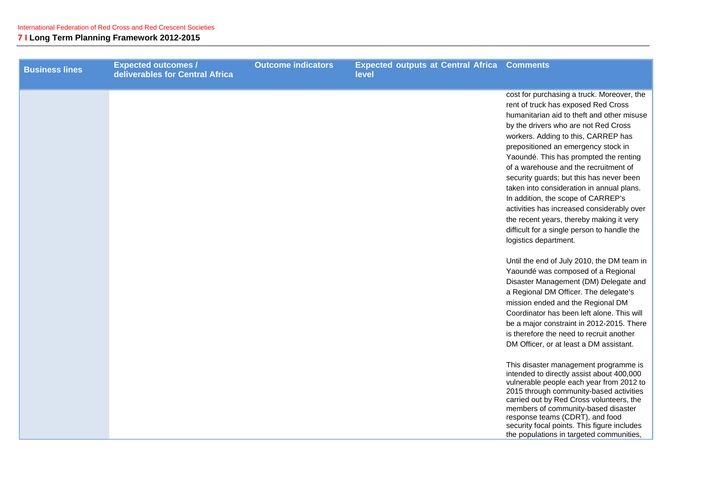| <b>Business lines</b> | <b>Expected outcomes /</b><br>deliverables for Central Africa | <b>Outcome indicators</b> | <b>Expected outputs at Central Africa Comments</b><br>level |                                                                                                                                                                                                                                                                                                                                                                                                                                                                                                                                                                                                                                                                                                                                                                                                                                                                                                                                                                                                                                                                                                                                                                                                                                                                                                                                                                                                                                      |
|-----------------------|---------------------------------------------------------------|---------------------------|-------------------------------------------------------------|--------------------------------------------------------------------------------------------------------------------------------------------------------------------------------------------------------------------------------------------------------------------------------------------------------------------------------------------------------------------------------------------------------------------------------------------------------------------------------------------------------------------------------------------------------------------------------------------------------------------------------------------------------------------------------------------------------------------------------------------------------------------------------------------------------------------------------------------------------------------------------------------------------------------------------------------------------------------------------------------------------------------------------------------------------------------------------------------------------------------------------------------------------------------------------------------------------------------------------------------------------------------------------------------------------------------------------------------------------------------------------------------------------------------------------------|
|                       |                                                               |                           |                                                             | cost for purchasing a truck. Moreover, the<br>rent of truck has exposed Red Cross<br>humanitarian aid to theft and other misuse<br>by the drivers who are not Red Cross<br>workers. Adding to this, CARREP has<br>prepositioned an emergency stock in<br>Yaoundé. This has prompted the renting<br>of a warehouse and the recruitment of<br>security guards; but this has never been<br>taken into consideration in annual plans.<br>In addition, the scope of CARREP's<br>activities has increased considerably over<br>the recent years, thereby making it very<br>difficult for a single person to handle the<br>logistics department.<br>Until the end of July 2010, the DM team in<br>Yaoundé was composed of a Regional<br>Disaster Management (DM) Delegate and<br>a Regional DM Officer. The delegate's<br>mission ended and the Regional DM<br>Coordinator has been left alone. This will<br>be a major constraint in 2012-2015. There<br>is therefore the need to recruit another<br>DM Officer, or at least a DM assistant.<br>This disaster management programme is<br>intended to directly assist about 400,000<br>vulnerable people each year from 2012 to<br>2015 through community-based activities<br>carried out by Red Cross volunteers, the<br>members of community-based disaster<br>response teams (CDRT), and food<br>security focal points. This figure includes<br>the populations in targeted communities, |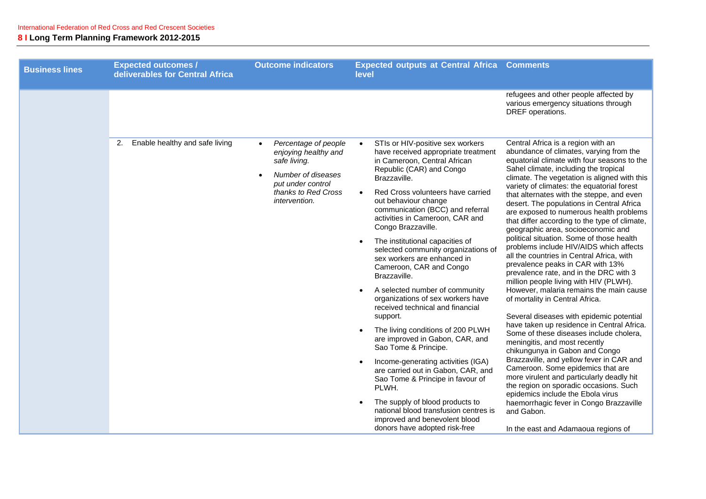| <b>Business lines</b> | <b>Expected outcomes /</b><br>deliverables for Central Africa | <b>Outcome indicators</b>                                                                                                                       | <b>Expected outputs at Central Africa Comments</b><br>level                                                                                                                                                                                                                                                                                                                                                                                                                                                                                                                                                                                                                                                                                                                                                                                                                                                                                                                                            |                                                                                                                                                                                                                                                                                                                                                                                                                                                                                                                                                                                                                                                                                                                                                                                                                                                                                                                                                                                                                                                                                                                                                                                                                                                                                                                                                                 |
|-----------------------|---------------------------------------------------------------|-------------------------------------------------------------------------------------------------------------------------------------------------|--------------------------------------------------------------------------------------------------------------------------------------------------------------------------------------------------------------------------------------------------------------------------------------------------------------------------------------------------------------------------------------------------------------------------------------------------------------------------------------------------------------------------------------------------------------------------------------------------------------------------------------------------------------------------------------------------------------------------------------------------------------------------------------------------------------------------------------------------------------------------------------------------------------------------------------------------------------------------------------------------------|-----------------------------------------------------------------------------------------------------------------------------------------------------------------------------------------------------------------------------------------------------------------------------------------------------------------------------------------------------------------------------------------------------------------------------------------------------------------------------------------------------------------------------------------------------------------------------------------------------------------------------------------------------------------------------------------------------------------------------------------------------------------------------------------------------------------------------------------------------------------------------------------------------------------------------------------------------------------------------------------------------------------------------------------------------------------------------------------------------------------------------------------------------------------------------------------------------------------------------------------------------------------------------------------------------------------------------------------------------------------|
|                       |                                                               |                                                                                                                                                 |                                                                                                                                                                                                                                                                                                                                                                                                                                                                                                                                                                                                                                                                                                                                                                                                                                                                                                                                                                                                        | refugees and other people affected by<br>various emergency situations through<br>DREF operations.                                                                                                                                                                                                                                                                                                                                                                                                                                                                                                                                                                                                                                                                                                                                                                                                                                                                                                                                                                                                                                                                                                                                                                                                                                                               |
|                       | Enable healthy and safe living<br>2.                          | Percentage of people<br>enjoying healthy and<br>safe living.<br>Number of diseases<br>put under control<br>thanks to Red Cross<br>intervention. | STIs or HIV-positive sex workers<br>have received appropriate treatment<br>in Cameroon, Central African<br>Republic (CAR) and Congo<br>Brazzaville.<br>Red Cross volunteers have carried<br>$\bullet$<br>out behaviour change<br>communication (BCC) and referral<br>activities in Cameroon, CAR and<br>Congo Brazzaville.<br>The institutional capacities of<br>$\bullet$<br>selected community organizations of<br>sex workers are enhanced in<br>Cameroon, CAR and Congo<br>Brazzaville.<br>A selected number of community<br>$\bullet$<br>organizations of sex workers have<br>received technical and financial<br>support.<br>The living conditions of 200 PLWH<br>are improved in Gabon, CAR, and<br>Sao Tome & Principe.<br>Income-generating activities (IGA)<br>are carried out in Gabon, CAR, and<br>Sao Tome & Principe in favour of<br>PLWH.<br>The supply of blood products to<br>national blood transfusion centres is<br>improved and benevolent blood<br>donors have adopted risk-free | Central Africa is a region with an<br>abundance of climates, varying from the<br>equatorial climate with four seasons to the<br>Sahel climate, including the tropical<br>climate. The vegetation is aligned with this<br>variety of climates: the equatorial forest<br>that alternates with the steppe, and even<br>desert. The populations in Central Africa<br>are exposed to numerous health problems<br>that differ according to the type of climate,<br>geographic area, socioeconomic and<br>political situation. Some of those health<br>problems include HIV/AIDS which affects<br>all the countries in Central Africa, with<br>prevalence peaks in CAR with 13%<br>prevalence rate, and in the DRC with 3<br>million people living with HIV (PLWH).<br>However, malaria remains the main cause<br>of mortality in Central Africa.<br>Several diseases with epidemic potential<br>have taken up residence in Central Africa.<br>Some of these diseases include cholera,<br>meningitis, and most recently<br>chikungunya in Gabon and Congo<br>Brazzaville, and yellow fever in CAR and<br>Cameroon. Some epidemics that are<br>more virulent and particularly deadly hit<br>the region on sporadic occasions. Such<br>epidemics include the Ebola virus<br>haemorrhagic fever in Congo Brazzaville<br>and Gabon.<br>In the east and Adamaoua regions of |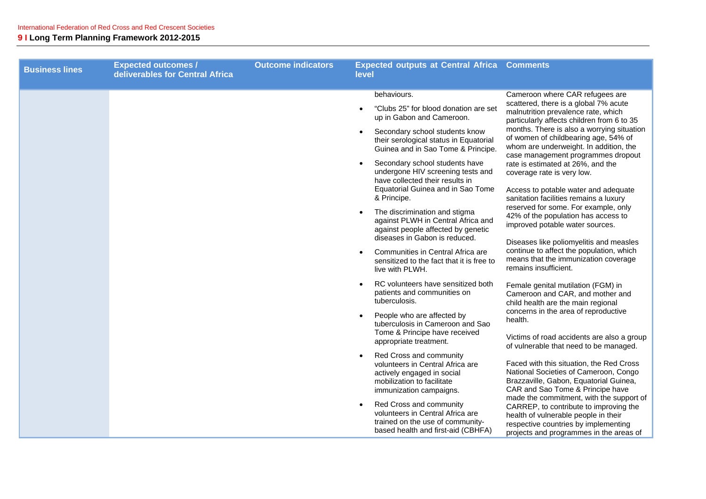| <b>Business lines</b> | <b>Expected outcomes /</b><br>deliverables for Central Africa | <b>Outcome indicators</b> | <b>Expected outputs at Central Africa Comments</b><br>level                                                                                                                                                                                                                                                                                                                                                                                                                                                                                                                    |                                                                                                                                                                                                                                                                                                                                                                                                                                                                                                                                                                                                                                                                                                   |
|-----------------------|---------------------------------------------------------------|---------------------------|--------------------------------------------------------------------------------------------------------------------------------------------------------------------------------------------------------------------------------------------------------------------------------------------------------------------------------------------------------------------------------------------------------------------------------------------------------------------------------------------------------------------------------------------------------------------------------|---------------------------------------------------------------------------------------------------------------------------------------------------------------------------------------------------------------------------------------------------------------------------------------------------------------------------------------------------------------------------------------------------------------------------------------------------------------------------------------------------------------------------------------------------------------------------------------------------------------------------------------------------------------------------------------------------|
|                       |                                                               |                           | behaviours.<br>"Clubs 25" for blood donation are set<br>up in Gabon and Cameroon.<br>Secondary school students know<br>$\bullet$<br>their serological status in Equatorial<br>Guinea and in Sao Tome & Principe.<br>Secondary school students have<br>undergone HIV screening tests and<br>have collected their results in<br>Equatorial Guinea and in Sao Tome<br>& Principe.<br>The discrimination and stigma<br>against PLWH in Central Africa and<br>against people affected by genetic<br>diseases in Gabon is reduced.<br>Communities in Central Africa are<br>$\bullet$ | Cameroon where CAR refugees are<br>scattered, there is a global 7% acute<br>malnutrition prevalence rate, which<br>particularly affects children from 6 to 35<br>months. There is also a worrying situation<br>of women of childbearing age, 54% of<br>whom are underweight. In addition, the<br>case management programmes dropout<br>rate is estimated at 26%, and the<br>coverage rate is very low.<br>Access to potable water and adequate<br>sanitation facilities remains a luxury<br>reserved for some. For example, only<br>42% of the population has access to<br>improved potable water sources.<br>Diseases like poliomyelitis and measles<br>continue to affect the population, which |
|                       |                                                               |                           | sensitized to the fact that it is free to<br>live with PLWH.<br>RC volunteers have sensitized both<br>patients and communities on<br>tuberculosis.<br>People who are affected by<br>tuberculosis in Cameroon and Sao<br>Tome & Principe have received<br>appropriate treatment.<br>Red Cross and community<br>$\bullet$<br>volunteers in Central Africa are<br>actively engaged in social<br>mobilization to facilitate<br>immunization campaigns.                                                                                                                             | means that the immunization coverage<br>remains insufficient.<br>Female genital mutilation (FGM) in<br>Cameroon and CAR, and mother and<br>child health are the main regional<br>concerns in the area of reproductive<br>health.<br>Victims of road accidents are also a group<br>of vulnerable that need to be managed.<br>Faced with this situation, the Red Cross<br>National Societies of Cameroon, Congo<br>Brazzaville, Gabon, Equatorial Guinea,<br>CAR and Sao Tome & Principe have                                                                                                                                                                                                       |
|                       |                                                               |                           | Red Cross and community<br>volunteers in Central Africa are<br>trained on the use of community-<br>based health and first-aid (CBHFA)                                                                                                                                                                                                                                                                                                                                                                                                                                          | made the commitment, with the support of<br>CARREP, to contribute to improving the<br>health of vulnerable people in their<br>respective countries by implementing<br>projects and programmes in the areas of                                                                                                                                                                                                                                                                                                                                                                                                                                                                                     |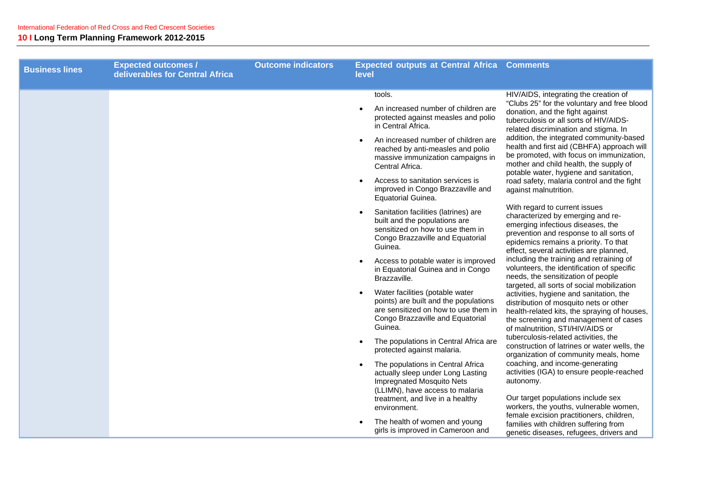| <b>Business lines</b> | <b>Expected outcomes /</b><br>deliverables for Central Africa | <b>Outcome indicators</b> | <b>Expected outputs at Central Africa Comments</b><br>level                                                                                                                                                                                                                                                                                                                                        |  |
|-----------------------|---------------------------------------------------------------|---------------------------|----------------------------------------------------------------------------------------------------------------------------------------------------------------------------------------------------------------------------------------------------------------------------------------------------------------------------------------------------------------------------------------------------|--|
|                       |                                                               |                           | HIV/AIDS, integrating the creation of<br>tools.<br>"Clubs 25" for the voluntary and free blood<br>An increased number of children are<br>donation, and the fight against<br>protected against measles and polio<br>tuberculosis or all sorts of HIV/AIDS-<br>in Central Africa.<br>related discrimination and stigma. In                                                                           |  |
|                       |                                                               |                           | addition, the integrated community-based<br>An increased number of children are<br>health and first aid (CBHFA) approach will<br>reached by anti-measles and polio<br>be promoted, with focus on immunization,<br>massive immunization campaigns in<br>mother and child health, the supply of<br>Central Africa.<br>potable water, hygiene and sanitation,                                         |  |
|                       |                                                               |                           | Access to sanitation services is<br>road safety, malaria control and the fight<br>improved in Congo Brazzaville and<br>against malnutrition.<br>Equatorial Guinea.                                                                                                                                                                                                                                 |  |
|                       |                                                               |                           | With regard to current issues<br>Sanitation facilities (latrines) are<br>characterized by emerging and re-<br>built and the populations are<br>emerging infectious diseases, the<br>sensitized on how to use them in<br>prevention and response to all sorts of<br>Congo Brazzaville and Equatorial<br>epidemics remains a priority. To that<br>Guinea.<br>effect, several activities are planned, |  |
|                       |                                                               |                           | including the training and retraining of<br>Access to potable water is improved<br>volunteers, the identification of specific<br>in Equatorial Guinea and in Congo<br>needs, the sensitization of people<br>Brazzaville.<br>targeted, all sorts of social mobilization                                                                                                                             |  |
|                       |                                                               |                           | Water facilities (potable water<br>activities, hygiene and sanitation, the<br>points) are built and the populations<br>distribution of mosquito nets or other<br>are sensitized on how to use them in<br>health-related kits, the spraying of houses,<br>Congo Brazzaville and Equatorial<br>the screening and management of cases<br>Guinea.<br>of malnutrition, STI/HIV/AIDS or                  |  |
|                       |                                                               |                           | tuberculosis-related activities, the<br>The populations in Central Africa are<br>construction of latrines or water wells, the<br>protected against malaria.<br>organization of community meals, home                                                                                                                                                                                               |  |
|                       |                                                               |                           | coaching, and income-generating<br>The populations in Central Africa<br>$\bullet$<br>activities (IGA) to ensure people-reached<br>actually sleep under Long Lasting<br><b>Impregnated Mosquito Nets</b><br>autonomy.<br>(LLIMN), have access to malaria                                                                                                                                            |  |
|                       |                                                               |                           | Our target populations include sex<br>treatment, and live in a healthy<br>workers, the youths, vulnerable women,<br>environment.<br>female excision practitioners, children,<br>The health of women and young<br>families with children suffering from                                                                                                                                             |  |
|                       |                                                               |                           | girls is improved in Cameroon and<br>genetic diseases, refugees, drivers and                                                                                                                                                                                                                                                                                                                       |  |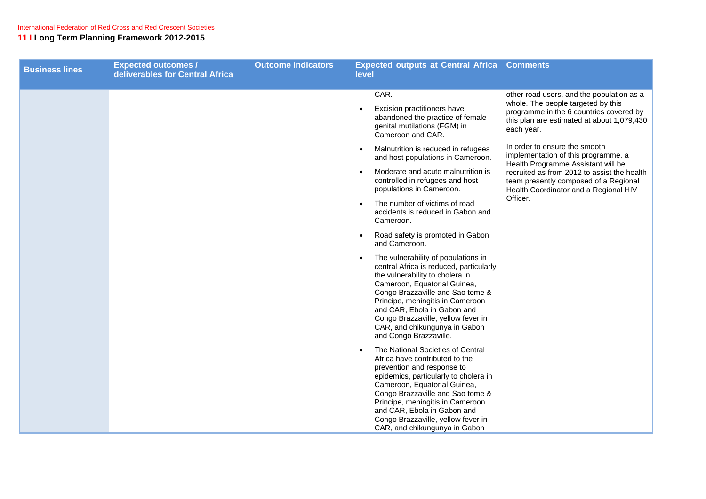| <b>Business lines</b> | <b>Expected outcomes /</b><br>deliverables for Central Africa | <b>Outcome indicators</b> | <b>Expected outputs at Central Africa Comments</b><br>level                                                                                                                                                                                                                                                                                                            |                                                                                                                                                                                        |
|-----------------------|---------------------------------------------------------------|---------------------------|------------------------------------------------------------------------------------------------------------------------------------------------------------------------------------------------------------------------------------------------------------------------------------------------------------------------------------------------------------------------|----------------------------------------------------------------------------------------------------------------------------------------------------------------------------------------|
|                       |                                                               |                           | CAR.<br>Excision practitioners have<br>abandoned the practice of female<br>genital mutilations (FGM) in<br>Cameroon and CAR.                                                                                                                                                                                                                                           | other road users, and the population as a<br>whole. The people targeted by this<br>programme in the 6 countries covered by<br>this plan are estimated at about 1,079,430<br>each year. |
|                       |                                                               |                           | Malnutrition is reduced in refugees<br>$\bullet$<br>and host populations in Cameroon.                                                                                                                                                                                                                                                                                  | In order to ensure the smooth<br>implementation of this programme, a<br>Health Programme Assistant will be                                                                             |
|                       |                                                               |                           | Moderate and acute malnutrition is<br>$\bullet$<br>controlled in refugees and host<br>populations in Cameroon.                                                                                                                                                                                                                                                         | recruited as from 2012 to assist the health<br>team presently composed of a Regional<br>Health Coordinator and a Regional HIV                                                          |
|                       |                                                               |                           | The number of victims of road<br>accidents is reduced in Gabon and<br>Cameroon.                                                                                                                                                                                                                                                                                        | Officer.                                                                                                                                                                               |
|                       |                                                               |                           | Road safety is promoted in Gabon<br>and Cameroon.                                                                                                                                                                                                                                                                                                                      |                                                                                                                                                                                        |
|                       |                                                               |                           | The vulnerability of populations in<br>$\bullet$<br>central Africa is reduced, particularly<br>the vulnerability to cholera in<br>Cameroon, Equatorial Guinea,<br>Congo Brazzaville and Sao tome &<br>Principe, meningitis in Cameroon<br>and CAR, Ebola in Gabon and<br>Congo Brazzaville, yellow fever in<br>CAR, and chikungunya in Gabon<br>and Congo Brazzaville. |                                                                                                                                                                                        |
|                       |                                                               |                           | The National Societies of Central<br>Africa have contributed to the<br>prevention and response to<br>epidemics, particularly to cholera in<br>Cameroon, Equatorial Guinea,<br>Congo Brazzaville and Sao tome &<br>Principe, meningitis in Cameroon<br>and CAR, Ebola in Gabon and<br>Congo Brazzaville, yellow fever in<br>CAR, and chikungunya in Gabon               |                                                                                                                                                                                        |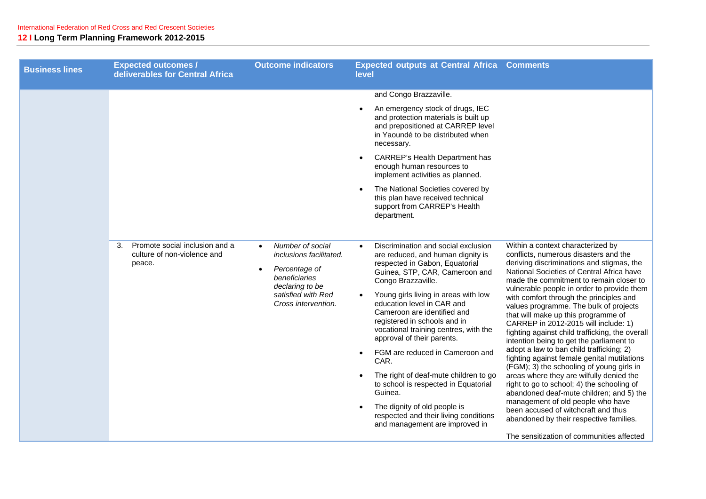| <b>Business lines</b> | <b>Expected outcomes /</b><br>deliverables for Central Africa                 | <b>Outcome indicators</b>                                                                                                                                               | <b>Expected outputs at Central Africa Comments</b><br>level                                                                                                                                                                                                                                                                                                                                                                                                                                                                                                                                                                                   |                                                                                                                                                                                                                                                                                                                                                                                                                                                                                                                                                                                                                                                                                                                                                                                                                                                                                                                                                                                    |
|-----------------------|-------------------------------------------------------------------------------|-------------------------------------------------------------------------------------------------------------------------------------------------------------------------|-----------------------------------------------------------------------------------------------------------------------------------------------------------------------------------------------------------------------------------------------------------------------------------------------------------------------------------------------------------------------------------------------------------------------------------------------------------------------------------------------------------------------------------------------------------------------------------------------------------------------------------------------|------------------------------------------------------------------------------------------------------------------------------------------------------------------------------------------------------------------------------------------------------------------------------------------------------------------------------------------------------------------------------------------------------------------------------------------------------------------------------------------------------------------------------------------------------------------------------------------------------------------------------------------------------------------------------------------------------------------------------------------------------------------------------------------------------------------------------------------------------------------------------------------------------------------------------------------------------------------------------------|
|                       |                                                                               |                                                                                                                                                                         | and Congo Brazzaville.<br>An emergency stock of drugs, IEC<br>and protection materials is built up<br>and prepositioned at CARREP level<br>in Yaoundé to be distributed when<br>necessary.<br>CARREP's Health Department has<br>enough human resources to<br>implement activities as planned.<br>The National Societies covered by<br>this plan have received technical<br>support from CARREP's Health<br>department.                                                                                                                                                                                                                        |                                                                                                                                                                                                                                                                                                                                                                                                                                                                                                                                                                                                                                                                                                                                                                                                                                                                                                                                                                                    |
|                       | Promote social inclusion and a<br>3.<br>culture of non-violence and<br>peace. | Number of social<br>$\bullet$<br>inclusions facilitated.<br>Percentage of<br>$\bullet$<br>beneficiaries<br>declaring to be<br>satisfied with Red<br>Cross intervention. | Discrimination and social exclusion<br>$\bullet$<br>are reduced, and human dignity is<br>respected in Gabon, Equatorial<br>Guinea, STP, CAR, Cameroon and<br>Congo Brazzaville.<br>Young girls living in areas with low<br>education level in CAR and<br>Cameroon are identified and<br>registered in schools and in<br>vocational training centres, with the<br>approval of their parents.<br>FGM are reduced in Cameroon and<br>CAR.<br>The right of deaf-mute children to go<br>to school is respected in Equatorial<br>Guinea.<br>The dignity of old people is<br>respected and their living conditions<br>and management are improved in | Within a context characterized by<br>conflicts, numerous disasters and the<br>deriving discriminations and stigmas, the<br>National Societies of Central Africa have<br>made the commitment to remain closer to<br>vulnerable people in order to provide them<br>with comfort through the principles and<br>values programme. The bulk of projects<br>that will make up this programme of<br>CARREP in 2012-2015 will include: 1)<br>fighting against child trafficking, the overall<br>intention being to get the parliament to<br>adopt a law to ban child trafficking; 2)<br>fighting against female genital mutilations<br>(FGM); 3) the schooling of young girls in<br>areas where they are wilfully denied the<br>right to go to school; 4) the schooling of<br>abandoned deaf-mute children; and 5) the<br>management of old people who have<br>been accused of witchcraft and thus<br>abandoned by their respective families.<br>The sensitization of communities affected |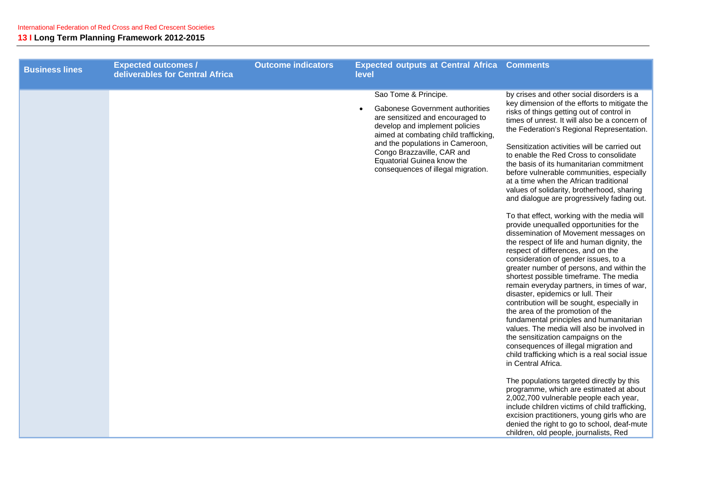| <b>Business lines</b> | <b>Expected outcomes /</b><br>deliverables for Central Africa | <b>Outcome indicators</b> | <b>Expected outputs at Central Africa Comments</b><br>level                                                                                                                                                                                                                                                  |                                                                                                                                                                                                                                                                                                                                                                                                                                                                                                                                                                                                                                                                                                                                                                                                                                                                                                                                                                                                                                                                                                                                                                                                                                                                                                                                                                                                                                                                                                                                                                                                                              |
|-----------------------|---------------------------------------------------------------|---------------------------|--------------------------------------------------------------------------------------------------------------------------------------------------------------------------------------------------------------------------------------------------------------------------------------------------------------|------------------------------------------------------------------------------------------------------------------------------------------------------------------------------------------------------------------------------------------------------------------------------------------------------------------------------------------------------------------------------------------------------------------------------------------------------------------------------------------------------------------------------------------------------------------------------------------------------------------------------------------------------------------------------------------------------------------------------------------------------------------------------------------------------------------------------------------------------------------------------------------------------------------------------------------------------------------------------------------------------------------------------------------------------------------------------------------------------------------------------------------------------------------------------------------------------------------------------------------------------------------------------------------------------------------------------------------------------------------------------------------------------------------------------------------------------------------------------------------------------------------------------------------------------------------------------------------------------------------------------|
|                       |                                                               |                           | Sao Tome & Principe.<br>Gabonese Government authorities<br>are sensitized and encouraged to<br>develop and implement policies<br>aimed at combating child trafficking,<br>and the populations in Cameroon,<br>Congo Brazzaville, CAR and<br>Equatorial Guinea know the<br>consequences of illegal migration. | by crises and other social disorders is a<br>key dimension of the efforts to mitigate the<br>risks of things getting out of control in<br>times of unrest. It will also be a concern of<br>the Federation's Regional Representation.<br>Sensitization activities will be carried out<br>to enable the Red Cross to consolidate<br>the basis of its humanitarian commitment<br>before vulnerable communities, especially<br>at a time when the African traditional<br>values of solidarity, brotherhood, sharing<br>and dialogue are progressively fading out.<br>To that effect, working with the media will<br>provide unequalled opportunities for the<br>dissemination of Movement messages on<br>the respect of life and human dignity, the<br>respect of differences, and on the<br>consideration of gender issues, to a<br>greater number of persons, and within the<br>shortest possible timeframe. The media<br>remain everyday partners, in times of war,<br>disaster, epidemics or lull. Their<br>contribution will be sought, especially in<br>the area of the promotion of the<br>fundamental principles and humanitarian<br>values. The media will also be involved in<br>the sensitization campaigns on the<br>consequences of illegal migration and<br>child trafficking which is a real social issue<br>in Central Africa.<br>The populations targeted directly by this<br>programme, which are estimated at about<br>2,002,700 vulnerable people each year,<br>include children victims of child trafficking,<br>excision practitioners, young girls who are<br>denied the right to go to school, deaf-mute |
|                       |                                                               |                           |                                                                                                                                                                                                                                                                                                              | children, old people, journalists, Red                                                                                                                                                                                                                                                                                                                                                                                                                                                                                                                                                                                                                                                                                                                                                                                                                                                                                                                                                                                                                                                                                                                                                                                                                                                                                                                                                                                                                                                                                                                                                                                       |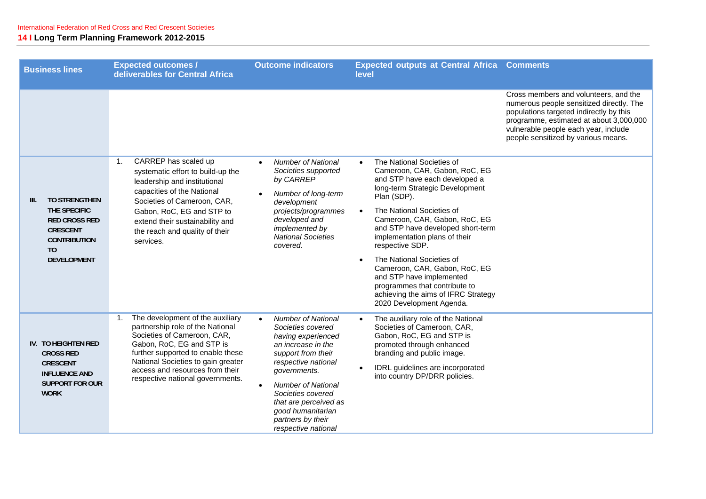| <b>Business lines</b>                                                                                                                                  | <b>Expected outcomes /</b><br>deliverables for Central Africa                                                                                                                                                                                                                         | <b>Outcome indicators</b>                                                                                                                                                                                                                                                                                                     | <b>Expected outputs at Central Africa Comments</b><br>level                                                                                                                                                                                                                                                                                                                                                                                                                                                                  |                                                                                                                                                                                                                                                        |
|--------------------------------------------------------------------------------------------------------------------------------------------------------|---------------------------------------------------------------------------------------------------------------------------------------------------------------------------------------------------------------------------------------------------------------------------------------|-------------------------------------------------------------------------------------------------------------------------------------------------------------------------------------------------------------------------------------------------------------------------------------------------------------------------------|------------------------------------------------------------------------------------------------------------------------------------------------------------------------------------------------------------------------------------------------------------------------------------------------------------------------------------------------------------------------------------------------------------------------------------------------------------------------------------------------------------------------------|--------------------------------------------------------------------------------------------------------------------------------------------------------------------------------------------------------------------------------------------------------|
|                                                                                                                                                        |                                                                                                                                                                                                                                                                                       |                                                                                                                                                                                                                                                                                                                               |                                                                                                                                                                                                                                                                                                                                                                                                                                                                                                                              | Cross members and volunteers, and the<br>numerous people sensitized directly. The<br>populations targeted indirectly by this<br>programme, estimated at about 3,000,000<br>vulnerable people each year, include<br>people sensitized by various means. |
| <b>TO STRENGTHEN</b><br>III.<br>THE SPECIFIC<br><b>RED CROSS RED</b><br><b>CRESCENT</b><br><b>CONTRIBUTION</b><br>T <sub>0</sub><br><b>DEVELOPMENT</b> | CARREP has scaled up<br>1.<br>systematic effort to build-up the<br>leadership and institutional<br>capacities of the National<br>Societies of Cameroon, CAR,<br>Gabon, RoC, EG and STP to<br>extend their sustainability and<br>the reach and quality of their<br>services.           | <b>Number of National</b><br>$\bullet$<br>Societies supported<br>by CARREP<br>Number of long-term<br>development<br>projects/programmes<br>developed and<br>implemented by<br><b>National Societies</b><br>covered.                                                                                                           | The National Societies of<br>$\bullet$<br>Cameroon, CAR, Gabon, RoC, EG<br>and STP have each developed a<br>long-term Strategic Development<br>Plan (SDP).<br>The National Societies of<br>$\bullet$<br>Cameroon, CAR, Gabon, RoC, EG<br>and STP have developed short-term<br>implementation plans of their<br>respective SDP.<br>The National Societies of<br>Cameroon, CAR, Gabon, RoC, EG<br>and STP have implemented<br>programmes that contribute to<br>achieving the aims of IFRC Strategy<br>2020 Development Agenda. |                                                                                                                                                                                                                                                        |
| <b>IV. TO HEIGHTEN RED</b><br><b>CROSS RED</b><br><b>CRESCENT</b><br><b>INFLUENCE AND</b><br><b>SUPPORT FOR OUR</b><br><b>WORK</b>                     | 1. The development of the auxiliary<br>partnership role of the National<br>Societies of Cameroon, CAR,<br>Gabon, RoC, EG and STP is<br>further supported to enable these<br>National Societies to gain greater<br>access and resources from their<br>respective national governments. | <b>Number of National</b><br>$\bullet$<br>Societies covered<br>having experienced<br>an increase in the<br>support from their<br>respective national<br>governments.<br><b>Number of National</b><br>$\bullet$<br>Societies covered<br>that are perceived as<br>good humanitarian<br>partners by their<br>respective national | The auxiliary role of the National<br>$\bullet$<br>Societies of Cameroon, CAR,<br>Gabon, RoC, EG and STP is<br>promoted through enhanced<br>branding and public image.<br>IDRL guidelines are incorporated<br>into country DP/DRR policies.                                                                                                                                                                                                                                                                                  |                                                                                                                                                                                                                                                        |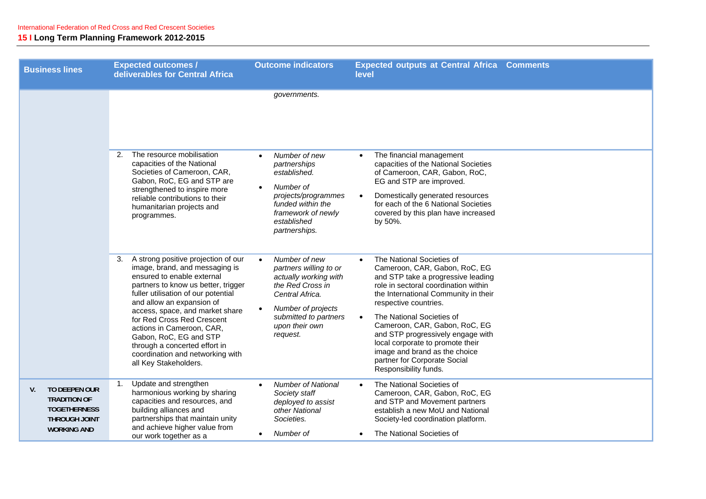| <b>Business lines</b>                                                                                    | <b>Expected outcomes /</b><br>deliverables for Central Africa                                                                                                                                                                                                                                                                                                                                                                              | <b>Outcome indicators</b>                                                                                                                                                            | <b>Expected outputs at Central Africa Comments</b><br>level                                                                                                                                                                                                                                                                                                                                                                                                          |
|----------------------------------------------------------------------------------------------------------|--------------------------------------------------------------------------------------------------------------------------------------------------------------------------------------------------------------------------------------------------------------------------------------------------------------------------------------------------------------------------------------------------------------------------------------------|--------------------------------------------------------------------------------------------------------------------------------------------------------------------------------------|----------------------------------------------------------------------------------------------------------------------------------------------------------------------------------------------------------------------------------------------------------------------------------------------------------------------------------------------------------------------------------------------------------------------------------------------------------------------|
|                                                                                                          |                                                                                                                                                                                                                                                                                                                                                                                                                                            | governments.                                                                                                                                                                         |                                                                                                                                                                                                                                                                                                                                                                                                                                                                      |
|                                                                                                          | The resource mobilisation<br>2.<br>capacities of the National<br>Societies of Cameroon, CAR,<br>Gabon, RoC, EG and STP are<br>strengthened to inspire more<br>reliable contributions to their<br>humanitarian projects and<br>programmes.                                                                                                                                                                                                  | Number of new<br>$\bullet$<br>partnerships<br>established.<br>Number of<br>projects/programmes<br>funded within the<br>framework of newly<br>established<br>partnerships.            | The financial management<br>$\bullet$<br>capacities of the National Societies<br>of Cameroon, CAR, Gabon, RoC,<br>EG and STP are improved.<br>Domestically generated resources<br>for each of the 6 National Societies<br>covered by this plan have increased<br>by 50%.                                                                                                                                                                                             |
|                                                                                                          | A strong positive projection of our<br>3.<br>image, brand, and messaging is<br>ensured to enable external<br>partners to know us better, trigger<br>fuller utilisation of our potential<br>and allow an expansion of<br>access, space, and market share<br>for Red Cross Red Crescent<br>actions in Cameroon, CAR,<br>Gabon, RoC, EG and STP<br>through a concerted effort in<br>coordination and networking with<br>all Key Stakeholders. | Number of new<br>partners willing to or<br>actually working with<br>the Red Cross in<br>Central Africa.<br>Number of projects<br>submitted to partners<br>upon their own<br>request. | The National Societies of<br>$\bullet$<br>Cameroon, CAR, Gabon, RoC, EG<br>and STP take a progressive leading<br>role in sectoral coordination within<br>the International Community in their<br>respective countries.<br>The National Societies of<br>$\bullet$<br>Cameroon, CAR, Gabon, RoC, EG<br>and STP progressively engage with<br>local corporate to promote their<br>image and brand as the choice<br>partner for Corporate Social<br>Responsibility funds. |
| TO DEEPEN OUR<br>V.<br><b>TRADITION OF</b><br><b>TOGETHERNESS</b><br>THROUGH JOINT<br><b>WORKING AND</b> | Update and strengthen<br>1.<br>harmonious working by sharing<br>capacities and resources, and<br>building alliances and<br>partnerships that maintain unity<br>and achieve higher value from<br>our work together as a                                                                                                                                                                                                                     | <b>Number of National</b><br>Society staff<br>deployed to assist<br>other National<br>Societies.<br>Number of                                                                        | The National Societies of<br>$\bullet$<br>Cameroon, CAR, Gabon, RoC, EG<br>and STP and Movement partners<br>establish a new MoU and National<br>Society-led coordination platform.<br>The National Societies of<br>$\bullet$                                                                                                                                                                                                                                         |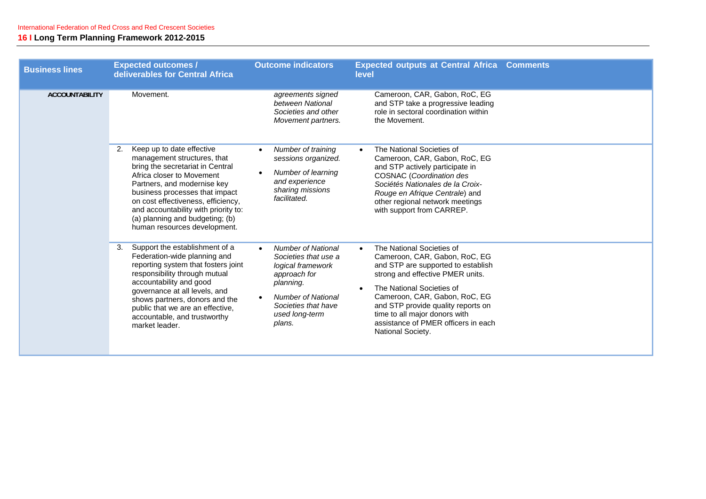| <b>Business lines</b> | <b>Expected outcomes /</b><br>deliverables for Central Africa                                                                                                                                                                                                                                                                                     | <b>Outcome indicators</b>                                                                                                                                                                                     | <b>Expected outputs at Central Africa Comments</b><br>level                                                                                                                                                                                                                                                                                        |  |
|-----------------------|---------------------------------------------------------------------------------------------------------------------------------------------------------------------------------------------------------------------------------------------------------------------------------------------------------------------------------------------------|---------------------------------------------------------------------------------------------------------------------------------------------------------------------------------------------------------------|----------------------------------------------------------------------------------------------------------------------------------------------------------------------------------------------------------------------------------------------------------------------------------------------------------------------------------------------------|--|
| <b>ACCOUNTABILITY</b> | Movement.                                                                                                                                                                                                                                                                                                                                         | agreements signed<br>between National<br>Societies and other<br>Movement partners.                                                                                                                            | Cameroon, CAR, Gabon, RoC, EG<br>and STP take a progressive leading<br>role in sectoral coordination within<br>the Movement.                                                                                                                                                                                                                       |  |
|                       | Keep up to date effective<br>2.<br>management structures, that<br>bring the secretariat in Central<br>Africa closer to Movement<br>Partners, and modernise key<br>business processes that impact<br>on cost effectiveness, efficiency,<br>and accountability with priority to:<br>(a) planning and budgeting; (b)<br>human resources development. | Number of training<br>sessions organized.<br>Number of learning<br>$\bullet$<br>and experience<br>sharing missions<br>facilitated.                                                                            | The National Societies of<br>$\bullet$<br>Cameroon, CAR, Gabon, RoC, EG<br>and STP actively participate in<br><b>COSNAC</b> (Coordination des<br>Sociétés Nationales de la Croix-<br>Rouge en Afrique Centrale) and<br>other regional network meetings<br>with support from CARREP.                                                                |  |
|                       | Support the establishment of a<br>3.<br>Federation-wide planning and<br>reporting system that fosters joint<br>responsibility through mutual<br>accountability and good<br>governance at all levels, and<br>shows partners, donors and the<br>public that we are an effective,<br>accountable, and trustworthy<br>market leader.                  | <b>Number of National</b><br>$\bullet$<br>Societies that use a<br>logical framework<br>approach for<br>planning.<br><b>Number of National</b><br>$\bullet$<br>Societies that have<br>used long-term<br>plans. | The National Societies of<br>$\bullet$<br>Cameroon, CAR, Gabon, RoC, EG<br>and STP are supported to establish<br>strong and effective PMER units.<br>The National Societies of<br>Cameroon, CAR, Gabon, RoC, EG<br>and STP provide quality reports on<br>time to all major donors with<br>assistance of PMER officers in each<br>National Society. |  |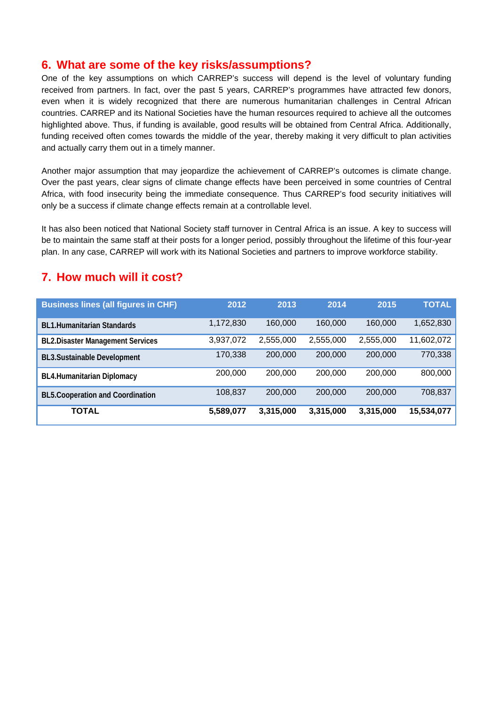### **6. What are some of the key risks/assumptions?**

One of the key assumptions on which CARREP's success will depend is the level of voluntary funding received from partners. In fact, over the past 5 years, CARREP's programmes have attracted few donors, even when it is widely recognized that there are numerous humanitarian challenges in Central African countries. CARREP and its National Societies have the human resources required to achieve all the outcomes highlighted above. Thus, if funding is available, good results will be obtained from Central Africa. Additionally, funding received often comes towards the middle of the year, thereby making it very difficult to plan activities and actually carry them out in a timely manner.

Another major assumption that may jeopardize the achievement of CARREP's outcomes is climate change. Over the past years, clear signs of climate change effects have been perceived in some countries of Central Africa, with food insecurity being the immediate consequence. Thus CARREP's food security initiatives will only be a success if climate change effects remain at a controllable level.

It has also been noticed that National Society staff turnover in Central Africa is an issue. A key to success will be to maintain the same staff at their posts for a longer period, possibly throughout the lifetime of this four-year plan. In any case, CARREP will work with its National Societies and partners to improve workforce stability.

## **7. How much will it cost?**

| <b>Business lines (all figures in CHF)</b> | 2012      | 2013      | 2014      | 2015      | <b>TOTAL</b> |
|--------------------------------------------|-----------|-----------|-----------|-----------|--------------|
| <b>BL1.Humanitarian Standards</b>          | 1,172,830 | 160,000   | 160,000   | 160,000   | 1,652,830    |
| <b>BL2.Disaster Management Services</b>    | 3,937,072 | 2,555,000 | 2,555,000 | 2,555,000 | 11,602,072   |
| <b>BL3.Sustainable Development</b>         | 170,338   | 200,000   | 200,000   | 200,000   | 770,338      |
| <b>BL4.Humanitarian Diplomacy</b>          | 200,000   | 200,000   | 200,000   | 200,000   | 800,000      |
| <b>BL5.Cooperation and Coordination</b>    | 108,837   | 200,000   | 200,000   | 200,000   | 708,837      |
| <b>TOTAL</b>                               | 5,589,077 | 3,315,000 | 3,315,000 | 3,315,000 | 15,534,077   |